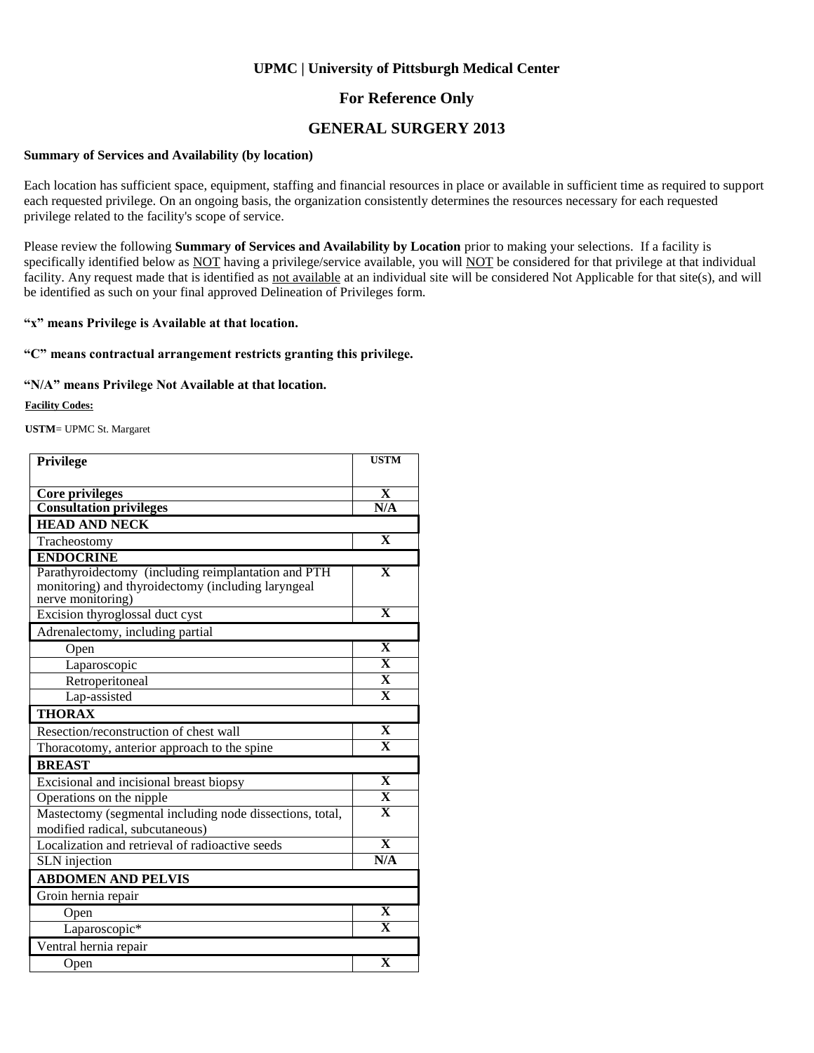### **For Reference Only**

### **GENERAL SURGERY 2013**

#### **Summary of Services and Availability (by location)**

Each location has sufficient space, equipment, staffing and financial resources in place or available in sufficient time as required to support each requested privilege. On an ongoing basis, the organization consistently determines the resources necessary for each requested privilege related to the facility's scope of service.

Please review the following **Summary of Services and Availability by Location** prior to making your selections. If a facility is specifically identified below as NOT having a privilege/service available, you will NOT be considered for that privilege at that individual facility. Any request made that is identified as not available at an individual site will be considered Not Applicable for that site(s), and will be identified as such on your final approved Delineation of Privileges form.

#### **"x" means Privilege is Available at that location.**

#### **"C" means contractual arrangement restricts granting this privilege.**

#### **"N/A" means Privilege Not Available at that location.**

#### **Facility Codes:**

**USTM**= UPMC St. Margaret

| Privilege                                                                                                                      | <b>USTM</b>             |
|--------------------------------------------------------------------------------------------------------------------------------|-------------------------|
|                                                                                                                                |                         |
| Core privileges                                                                                                                | X                       |
| <b>Consultation privileges</b>                                                                                                 | N/A                     |
| <b>HEAD AND NECK</b>                                                                                                           |                         |
| Tracheostomy                                                                                                                   | $\mathbf{X}$            |
| <b>ENDOCRINE</b>                                                                                                               |                         |
| Parathyroidectomy (including reimplantation and PTH<br>monitoring) and thyroidectomy (including laryngeal<br>nerve monitoring) | $\mathbf X$             |
| Excision thyroglossal duct cyst                                                                                                | $\mathbf{x}$            |
| Adrenalectomy, including partial                                                                                               |                         |
| Open                                                                                                                           | $\mathbf X$             |
| Laparoscopic                                                                                                                   | $\overline{\mathbf{X}}$ |
| Retroperitoneal                                                                                                                | $\overline{\mathbf{X}}$ |
| Lap-assisted                                                                                                                   | $\mathbf{x}$            |
| <b>THORAX</b>                                                                                                                  |                         |
| Resection/reconstruction of chest wall                                                                                         | $\mathbf X$             |
| Thoracotomy, anterior approach to the spine                                                                                    | $\overline{\mathbf{X}}$ |
| <b>BREAST</b>                                                                                                                  |                         |
| Excisional and incisional breast biopsy                                                                                        | $\mathbf X$             |
| Operations on the nipple                                                                                                       | $\overline{\mathbf{X}}$ |
| Mastectomy (segmental including node dissections, total,<br>modified radical, subcutaneous)                                    | $\overline{\mathbf{X}}$ |
| Localization and retrieval of radioactive seeds                                                                                | $\overline{\mathbf{X}}$ |
| SLN injection                                                                                                                  | N/A                     |
| <b>ABDOMEN AND PELVIS</b>                                                                                                      |                         |
| Groin hernia repair                                                                                                            |                         |
| Open                                                                                                                           | $\mathbf X$             |
| Laparoscopic*                                                                                                                  | $\overline{\mathbf{x}}$ |
| Ventral hernia repair                                                                                                          |                         |
| Open                                                                                                                           | $\overline{\textbf{X}}$ |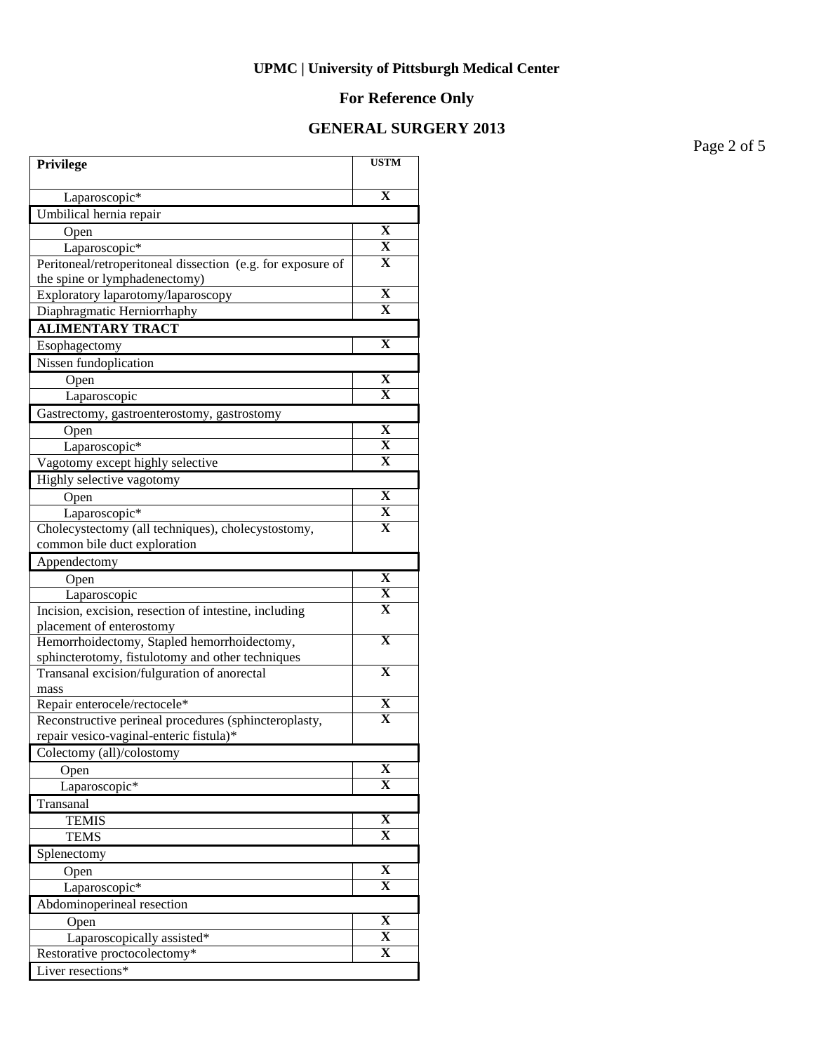# **For Reference Only**

### **GENERAL SURGERY 2013**

Page 2 of 5

| Privilege                                                                                       | <b>USTM</b>             |
|-------------------------------------------------------------------------------------------------|-------------------------|
| Laparoscopic*                                                                                   | $\mathbf X$             |
| Umbilical hernia repair                                                                         |                         |
| Open                                                                                            | X                       |
| Laparoscopic*                                                                                   | X                       |
| Peritoneal/retroperitoneal dissection (e.g. for exposure of                                     | X                       |
| the spine or lymphadenectomy)                                                                   |                         |
| Exploratory laparotomy/laparoscopy                                                              | X                       |
| Diaphragmatic Herniorrhaphy                                                                     | X                       |
| <b>ALIMENTARY TRACT</b>                                                                         |                         |
| Esophagectomy                                                                                   | X                       |
| Nissen fundoplication                                                                           |                         |
| Open                                                                                            | X                       |
| Laparoscopic                                                                                    | $\mathbf x$             |
| Gastrectomy, gastroenterostomy, gastrostomy                                                     |                         |
| Open                                                                                            | X                       |
| Laparoscopic*                                                                                   | X                       |
| Vagotomy except highly selective                                                                | X                       |
| Highly selective vagotomy                                                                       |                         |
| Open                                                                                            | X                       |
| Laparoscopic*                                                                                   | X                       |
| Cholecystectomy (all techniques), cholecystostomy,                                              | $\mathbf X$             |
| common bile duct exploration                                                                    |                         |
| Appendectomy                                                                                    |                         |
| Open                                                                                            | $\mathbf X$             |
| Laparoscopic                                                                                    | X                       |
| Incision, excision, resection of intestine, including                                           | $\overline{\mathbf{X}}$ |
| placement of enterostomy                                                                        | $\mathbf X$             |
| Hemorrhoidectomy, Stapled hemorrhoidectomy,                                                     |                         |
| sphincterotomy, fistulotomy and other techniques<br>Transanal excision/fulguration of anorectal | $\overline{\mathbf{X}}$ |
| mass                                                                                            |                         |
| Repair enterocele/rectocele*                                                                    | $\overline{\mathbf{X}}$ |
| Reconstructive perineal procedures (sphincteroplasty,                                           | $\overline{\mathbf{X}}$ |
| repair vesico-vaginal-enteric fistula)*                                                         |                         |
| Colectomy (all)/colostomy                                                                       |                         |
| Open                                                                                            | X                       |
| Laparoscopic <sup>*</sup>                                                                       | $\mathbf{X}$            |
| Transanal                                                                                       |                         |
| <b>TEMIS</b>                                                                                    | $\overline{\mathbf{X}}$ |
| <b>TEMS</b>                                                                                     | x                       |
| Splenectomy                                                                                     |                         |
| Open                                                                                            | $\mathbf X$             |
| Laparoscopic*                                                                                   | X                       |
| Abdominoperineal resection                                                                      |                         |
| Open                                                                                            | $\overline{\mathbf{X}}$ |
| Laparoscopically assisted*                                                                      | $\overline{\mathbf{X}}$ |
| Restorative proctocolectomy*                                                                    | $\overline{\mathbf{X}}$ |
| Liver resections*                                                                               |                         |
|                                                                                                 |                         |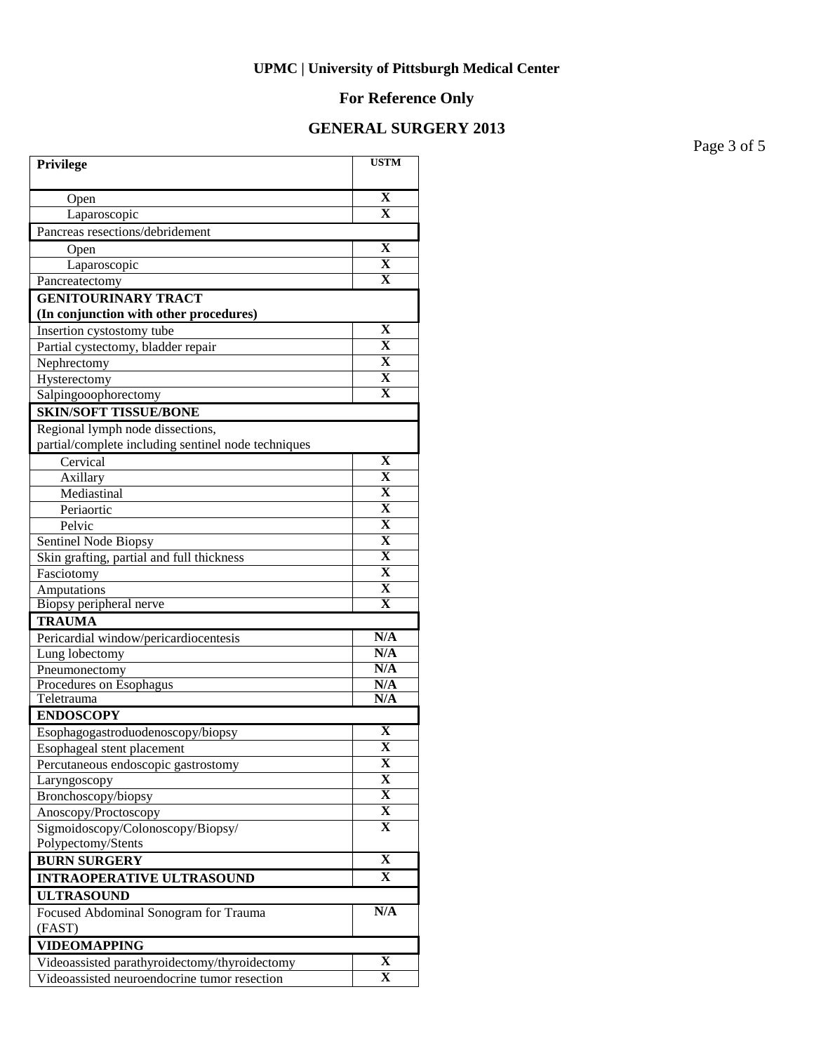# **For Reference Only**

### **GENERAL SURGERY 2013**

Page 3 of 5

| Privilege                                                            | <b>USTM</b>             |
|----------------------------------------------------------------------|-------------------------|
| Open                                                                 | X                       |
| Laparoscopic                                                         | $\mathbf X$             |
| Pancreas resections/debridement                                      |                         |
| Open                                                                 | X                       |
| Laparoscopic                                                         | X                       |
| Pancreatectomy                                                       | X                       |
| <b>GENITOURINARY TRACT</b><br>(In conjunction with other procedures) |                         |
| Insertion cystostomy tube                                            | X                       |
| Partial cystectomy, bladder repair                                   | X                       |
| Nephrectomy                                                          | $\mathbf X$             |
| Hysterectomy                                                         | $\overline{\mathbf{X}}$ |
| Salpingooophorectomy                                                 | $\overline{\mathbf{X}}$ |
| <b>SKIN/SOFT TISSUE/BONE</b>                                         |                         |
| Regional lymph node dissections,                                     |                         |
| partial/complete including sentinel node techniques                  |                         |
| Cervical                                                             | $\mathbf X$             |
| Axillary                                                             | $\mathbf X$             |
| Mediastinal                                                          | $\mathbf X$             |
| Periaortic                                                           | $\overline{\textbf{X}}$ |
| Pelvic                                                               | $\overline{\textbf{X}}$ |
| Sentinel Node Biopsy                                                 | $\overline{\textbf{X}}$ |
| Skin grafting, partial and full thickness                            | $\overline{\mathbf{X}}$ |
| Fasciotomy                                                           | $\overline{\textbf{X}}$ |
| Amputations                                                          | X                       |
| Biopsy peripheral nerve                                              | $\overline{\mathbf{X}}$ |
| <b>TRAUMA</b>                                                        |                         |
| Pericardial window/pericardiocentesis                                | N/A                     |
| Lung lobectomy                                                       | N/A                     |
| Pneumonectomy                                                        | N/A                     |
| Procedures on Esophagus                                              | N/A                     |
| Teletrauma                                                           | N/A                     |
| <b>ENDOSCOPY</b>                                                     |                         |
| Esophagogastroduodenoscopy/biopsy                                    | X                       |
| Esophageal stent placement                                           | $\overline{\mathbf{X}}$ |
| Percutaneous endoscopic gastrostomy                                  | X                       |
| Laryngoscopy                                                         | X                       |
| Bronchoscopy/biopsy                                                  | $\mathbf X$             |
| Anoscopy/Proctoscopy                                                 | $\overline{\mathbf{X}}$ |
| Sigmoidoscopy/Colonoscopy/Biopsy/                                    | X                       |
| Polypectomy/Stents                                                   | $\overline{\mathbf{X}}$ |
| <b>BURN SURGERY</b>                                                  |                         |
| <b>INTRAOPERATIVE ULTRASOUND</b>                                     | X                       |
| <b>ULTRASOUND</b>                                                    |                         |
| Focused Abdominal Sonogram for Trauma                                | N/A                     |
| (FAST)                                                               |                         |
| <b>VIDEOMAPPING</b>                                                  |                         |
| Videoassisted parathyroidectomy/thyroidectomy                        | X                       |
| Videoassisted neuroendocrine tumor resection                         | $\mathbf X$             |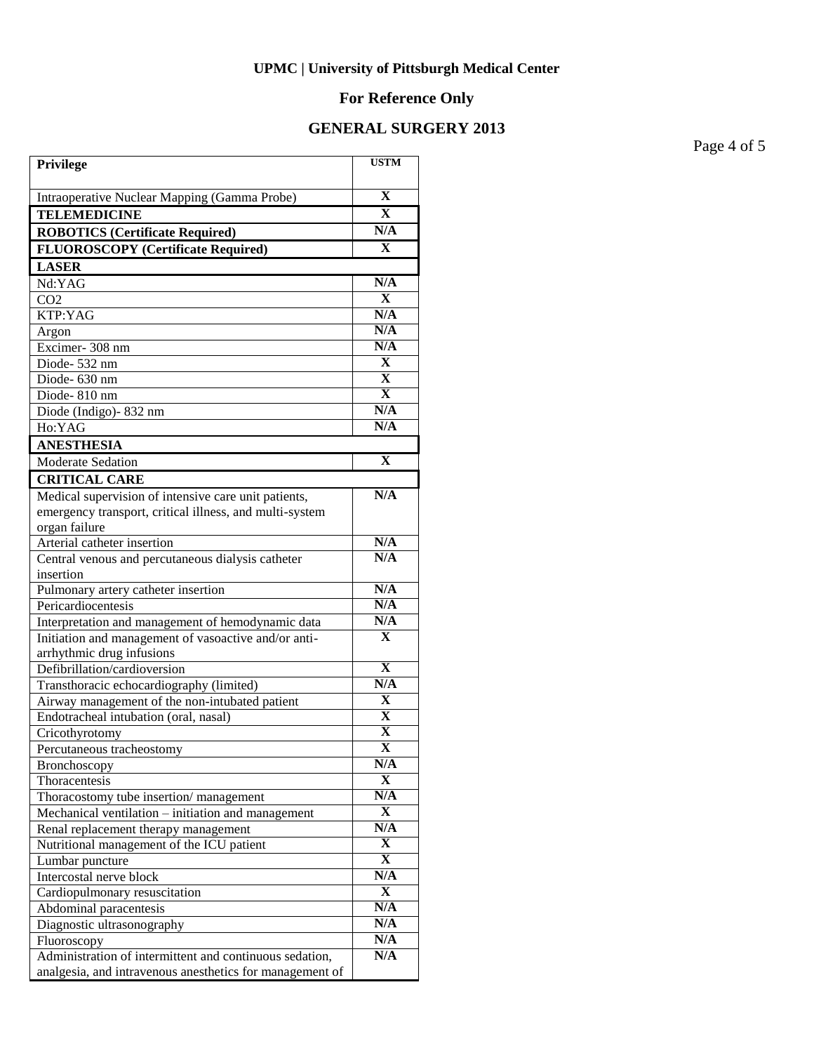# **For Reference Only**

### **GENERAL SURGERY 2013**

Page 4 of 5

| Privilege                                                | <b>USTM</b>                  |
|----------------------------------------------------------|------------------------------|
| Intraoperative Nuclear Mapping (Gamma Probe)             | $\overline{\mathbf{X}}$      |
| <b>TELEMEDICINE</b>                                      | $\mathbf X$                  |
| <b>ROBOTICS (Certificate Required)</b>                   | N/A                          |
| <b>FLUOROSCOPY</b> (Certificate Required)                | $\mathbf{x}$                 |
| <b>LASER</b>                                             |                              |
| Nd:YAG                                                   | N/A                          |
| CO <sub>2</sub>                                          | $\mathbf X$                  |
| KTP:YAG                                                  | N/A                          |
| Argon                                                    | N/A                          |
| Excimer-308 nm                                           | N/A                          |
| Diode-532 nm                                             | $\mathbf X$                  |
| Diode-630 nm                                             | $\overline{\mathbf{X}}$      |
| Diode-810 nm                                             | $\overline{\mathbf{X}}$      |
| Diode (Indigo) - 832 nm                                  | N/A                          |
| Ho:YAG                                                   | N/A                          |
| <b>ANESTHESIA</b>                                        |                              |
| <b>Moderate Sedation</b>                                 | $\mathbf X$                  |
| <b>CRITICAL CARE</b>                                     |                              |
| Medical supervision of intensive care unit patients,     | N/A                          |
| emergency transport, critical illness, and multi-system  |                              |
| organ failure                                            |                              |
| Arterial catheter insertion                              | N/A                          |
| Central venous and percutaneous dialysis catheter        | N/A                          |
| insertion                                                |                              |
| Pulmonary artery catheter insertion                      | N/A                          |
| Pericardiocentesis                                       | N/A                          |
| Interpretation and management of hemodynamic data        | N/A                          |
| Initiation and management of vasoactive and/or anti-     | $\mathbf X$                  |
| arrhythmic drug infusions                                |                              |
| Defibrillation/cardioversion                             | $\overline{\mathbf{X}}$      |
| Transthoracic echocardiography (limited)                 | N/A                          |
| Airway management of the non-intubated patient           | $\mathbf X$                  |
| Endotracheal intubation (oral, nasal)                    | X<br>$\overline{\mathbf{X}}$ |
| Cricothyrotomy                                           | $\overline{\mathbf{X}}$      |
| Percutaneous tracheostomy                                | N/A                          |
| Bronchoscopy<br>Thoracentesis                            | $\mathbf X$                  |
| Thoracostomy tube insertion/management                   | $\overline{\text{N/A}}$      |
| Mechanical ventilation – initiation and management       | X                            |
| Renal replacement therapy management                     | $\overline{\text{N/A}}$      |
| Nutritional management of the ICU patient                | X                            |
| Lumbar puncture                                          | X                            |
| Intercostal nerve block                                  | $\overline{\text{N/A}}$      |
| Cardiopulmonary resuscitation                            | $\mathbf X$                  |
| Abdominal paracentesis                                   | $\overline{\text{N/A}}$      |
| Diagnostic ultrasonography                               | N/A                          |
| Fluoroscopy                                              | N/A                          |
| Administration of intermittent and continuous sedation,  | N/A                          |
| analgesia, and intravenous anesthetics for management of |                              |